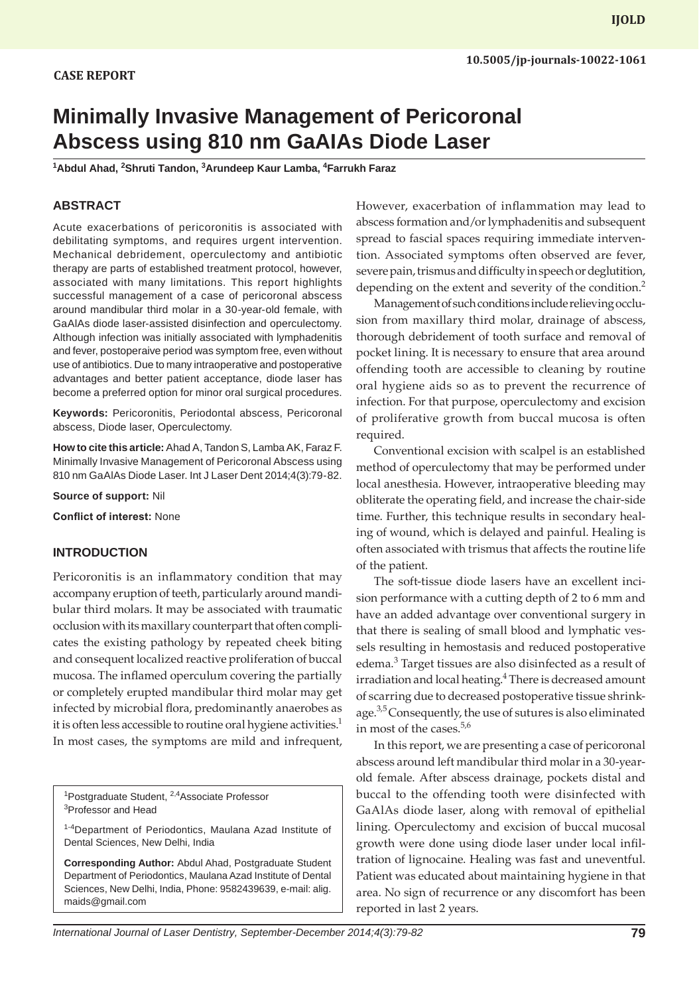# **CASE REPORT**

# **Minimally Invasive Management of Pericoronal Abscess using 810 nm GaAIAs Diode Laser**

**1 Abdul Ahad, 2 Shruti Tandon, 3 Arundeep Kaur Lamba, 4 Farrukh Faraz**

### **ABSTRACT**

Acute exacerbations of pericoronitis is associated with debilitating symptoms, and requires urgent intervention. Mechanical debridement, operculectomy and antibiotic therapy are parts of established treatment protocol, however, associated with many limitations. This report highlights successful management of a case of pericoronal abscess around mandibular third molar in a 30-year-old female, with GaAlAs diode laser-assisted disinfection and operculectomy. Although infection was initially associated with lymphadenitis and fever, postoperaive period was symptom free, even without use of antibiotics. Due to many intraoperative and postoperative advantages and better patient acceptance, diode laser has become a preferred option for minor oral surgical procedures.

**Keywords:** Pericoronitis, Periodontal abscess, Pericoronal abscess, Diode laser, Operculectomy.

**How to cite this article:** Ahad A, Tandon S, Lamba AK, Faraz F. Minimally Invasive Management of Pericoronal Abscess using 810 nm GaAlAs Diode Laser. Int J Laser Dent 2014;4(3):79-82.

**Source of support:** Nil

**Conflict of interest:** None

#### **INTRODUCTION**

Pericoronitis is an inflammatory condition that may accompany eruption of teeth, particularly around mandibular third molars. It may be associated with traumatic occlusion with its maxillary counterpart that often complicates the existing pathology by repeated cheek biting and consequent localized reactive proliferation of buccal mucosa. The inflamed operculum covering the partially or completely erupted mandibular third molar may get infected by microbial flora, predominantly anaerobes as it is often less accessible to routine oral hygiene activities.<sup>1</sup> In most cases, the symptoms are mild and infrequent,

<sup>1</sup>Postgraduate Student, <sup>2,4</sup>Associate Professor 3 Professor and Head

<sup>1-4</sup>Department of Periodontics, Maulana Azad Institute of Dental Sciences, New Delhi, India

**Corresponding Author:** Abdul Ahad, Postgraduate Student Department of Periodontics, Maulana Azad Institute of Dental Sciences, New Delhi, India, Phone: 9582439639, e-mail: alig. maids@gmail.com

However, exacerbation of inflammation may lead to abscess formation and/or lymphadenitis and subsequent spread to fascial spaces requiring immediate intervention. Associated symptoms often observed are fever, severe pain, trismus and difficulty in speech or deglutition, depending on the extent and severity of the condition.<sup>2</sup>

Management of such conditions include relieving occlusion from maxillary third molar, drainage of abscess, thorough debridement of tooth surface and removal of pocket lining. It is necessary to ensure that area around offending tooth are accessible to cleaning by routine oral hygiene aids so as to prevent the recurrence of infection. For that purpose, operculectomy and excision of proliferative growth from buccal mucosa is often required.

Conventional excision with scalpel is an established method of operculectomy that may be performed under local anesthesia. However, intraoperative bleeding may obliterate the operating field, and increase the chair-side time. Further, this technique results in secondary healing of wound, which is delayed and painful. Healing is often associated with trismus that affects the routine life of the patient.

The soft-tissue diode lasers have an excellent incision performance with a cutting depth of 2 to 6 mm and have an added advantage over conventional surgery in that there is sealing of small blood and lymphatic vessels resulting in hemostasis and reduced postoperative edema.<sup>3</sup> Target tissues are also disinfected as a result of irradiation and local heating.<sup>4</sup> There is decreased amount of scarring due to decreased postoperative tissue shrinkage.<sup>3,5</sup> Consequently, the use of sutures is also eliminated in most of the cases.<sup>5,6</sup>

In this report, we are presenting a case of pericoronal abscess around left mandibular third molar in a 30-yearold female. After abscess drainage, pockets distal and buccal to the offending tooth were disinfected with GaAlAs diode laser, along with removal of epithelial lining. Operculectomy and excision of buccal mucosal growth were done using diode laser under local infiltration of lignocaine. Healing was fast and uneventful. Patient was educated about maintaining hygiene in that area. No sign of recurrence or any discomfort has been reported in last 2 years.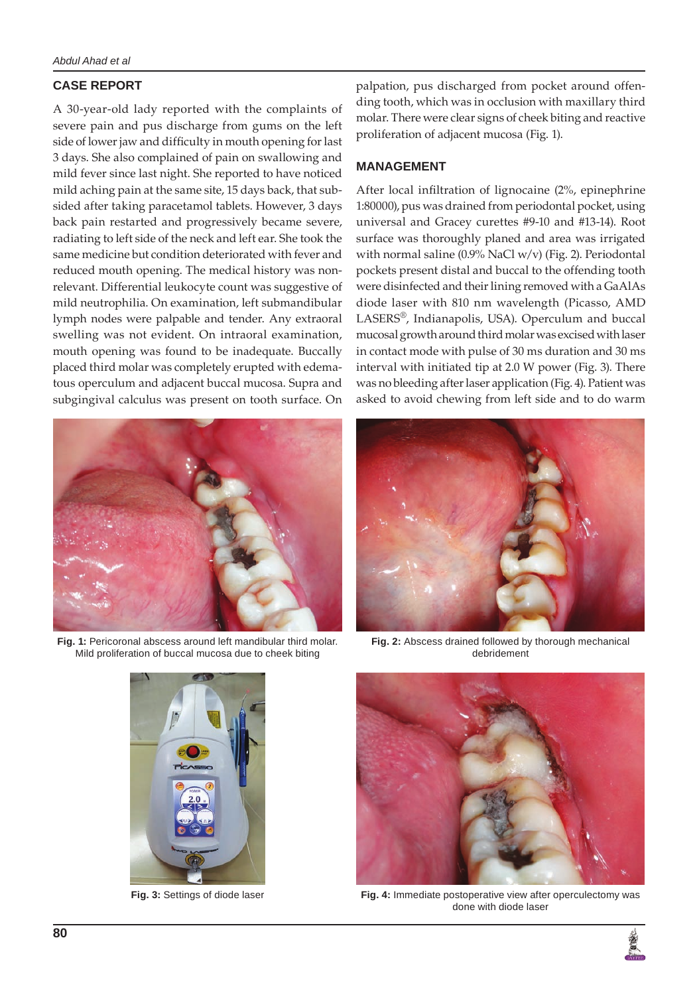# **CASE REPORT**

A 30-year-old lady reported with the complaints of severe pain and pus discharge from gums on the left side of lower jaw and difficulty in mouth opening for last 3 days. She also complained of pain on swallowing and mild fever since last night. She reported to have noticed mild aching pain at the same site, 15 days back, that subsided after taking paracetamol tablets. However, 3 days back pain restarted and progressively became severe, radiating to left side of the neck and left ear. She took the same medicine but condition deteriorated with fever and reduced mouth opening. The medical history was nonrelevant. Differential leukocyte count was suggestive of mild neutrophilia. On examination, left submandibular lymph nodes were palpable and tender. Any extraoral swelling was not evident. On intraoral examination, mouth opening was found to be inadequate. Buccally placed third molar was completely erupted with edematous operculum and adjacent buccal mucosa. Supra and subgingival calculus was present on tooth surface. On



**Fig. 1:** Pericoronal abscess around left mandibular third molar. Mild proliferation of buccal mucosa due to cheek biting



palpation, pus discharged from pocket around offending tooth, which was in occlusion with maxillary third molar. There were clear signs of cheek biting and reactive proliferation of adjacent mucosa (Fig. 1).

## **MANAGEMENT**

After local infiltration of lignocaine (2%, epinephrine 1:80000), pus was drained from periodontal pocket, using universal and Gracey curettes #9-10 and #13-14). Root surface was thoroughly planed and area was irrigated with normal saline (0.9% NaCl w/v) (Fig. 2). Periodontal pockets present distal and buccal to the offending tooth were disinfected and their lining removed with a GaAlAs diode laser with 810 nm wavelength (Picasso, AMD LASERS®, Indianapolis, USA). Operculum and buccal mucosal growth around third molar was excised with laser in contact mode with pulse of 30 ms duration and 30 ms interval with initiated tip at 2.0 W power (Fig. 3). There was no bleeding after laser application (Fig. 4). Patient was asked to avoid chewing from left side and to do warm



**Fig. 2:** Abscess drained followed by thorough mechanical debridement



**Fig. 3:** Settings of diode laser **Fig. 4:** Immediate postoperative view after operculectomy was done with diode laser

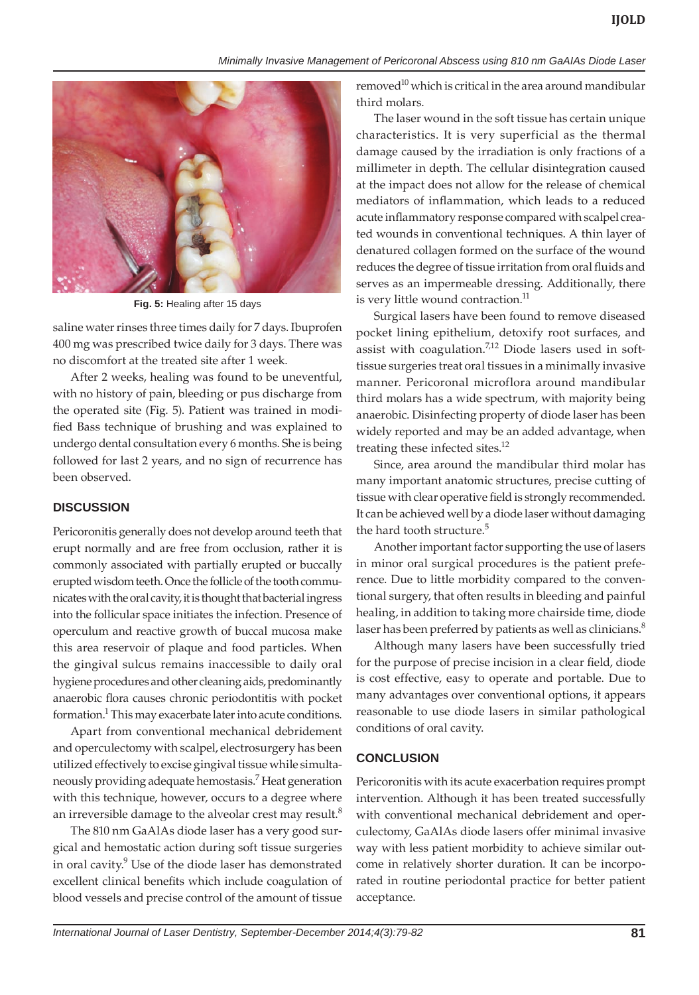*Minimally Invasive Management of Pericoronal Abscess using 810 nm GaAIAs Diode Laser*



**Fig. 5:** Healing after 15 days

saline water rinses three times daily for 7 days. Ibuprofen 400 mg was prescribed twice daily for 3 days. There was no discomfort at the treated site after 1 week.

After 2 weeks, healing was found to be uneventful, with no history of pain, bleeding or pus discharge from the operated site (Fig. 5). Patient was trained in modified Bass technique of brushing and was explained to undergo dental consultation every 6 months. She is being followed for last 2 years, and no sign of recurrence has been observed.

# **DISCUSSION**

Pericoronitis generally does not develop around teeth that erupt normally and are free from occlusion, rather it is commonly associated with partially erupted or buccally erupted wisdom teeth. Once the follicle of the tooth communicates with the oral cavity, it is thought that bacterial ingress into the follicular space initiates the infection. Presence of operculum and reactive growth of buccal mucosa make this area reservoir of plaque and food particles. When the gingival sulcus remains inaccessible to daily oral hygiene procedures and other cleaning aids, predominantly anaerobic flora causes chronic periodontitis with pocket formation.<sup>1</sup> This may exacerbate later into acute conditions.

Apart from conventional mechanical debridement and operculectomy with scalpel, electrosurgery has been utilized effectively to excise gingival tissue while simultaneously providing adequate hemostasis.7 Heat generation with this technique, however, occurs to a degree where an irreversible damage to the alveolar crest may result.<sup>8</sup>

The 810 nm GaAlAs diode laser has a very good surgical and hemostatic action during soft tissue surgeries in oral cavity.<sup>9</sup> Use of the diode laser has demonstrated excellent clinical benefits which include coagulation of blood vessels and precise control of the amount of tissue

removed $^{10}$  which is critical in the area around mandibular third molars.

The laser wound in the soft tissue has certain unique characteristics. It is very superficial as the thermal damage caused by the irradiation is only fractions of a millimeter in depth. The cellular disintegration caused at the impact does not allow for the release of chemical mediators of inflammation, which leads to a reduced acute inflammatory response compared with scalpel created wounds in conventional techniques. A thin layer of denatured collagen formed on the surface of the wound reduces the degree of tissue irritation from oral fluids and serves as an impermeable dressing. Additionally, there is very little wound contraction.<sup>11</sup>

Surgical lasers have been found to remove diseased pocket lining epithelium, detoxify root surfaces, and assist with coagulation. $7,12$  Diode lasers used in softtissue surgeries treat oral tissues in a minimally invasive manner. Pericoronal microflora around mandibular third molars has a wide spectrum, with majority being anaerobic. Disinfecting property of diode laser has been widely reported and may be an added advantage, when treating these infected sites.<sup>12</sup>

Since, area around the mandibular third molar has many important anatomic structures, precise cutting of tissue with clear operative field is strongly recommended. It can be achieved well by a diode laser without damaging the hard tooth structure.<sup>5</sup>

Another important factor supporting the use of lasers in minor oral surgical procedures is the patient preference. Due to little morbidity compared to the conventional surgery, that often results in bleeding and painful healing, in addition to taking more chairside time, diode laser has been preferred by patients as well as clinicians.<sup>8</sup>

Although many lasers have been successfully tried for the purpose of precise incision in a clear field, diode is cost effective, easy to operate and portable. Due to many advantages over conventional options, it appears reasonable to use diode lasers in similar pathological conditions of oral cavity.

# **CONCLUSION**

Pericoronitis with its acute exacerbation requires prompt intervention. Although it has been treated successfully with conventional mechanical debridement and operculectomy, GaAlAs diode lasers offer minimal invasive way with less patient morbidity to achieve similar outcome in relatively shorter duration. It can be incorporated in routine periodontal practice for better patient acceptance.